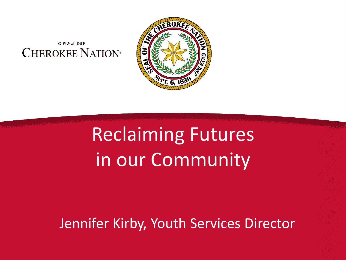#### **GWY.**9 DBP **CHEROKEE NATION®**



### Reclaiming Futures in our Community

Jennifer Kirby, Youth Services Director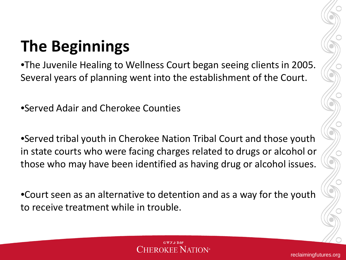#### **The Beginnings**

•The Juvenile Healing to Wellness Court began seeing clients in 2005. Several years of planning went into the establishment of the Court.

•Served Adair and Cherokee Counties

•Served tribal youth in Cherokee Nation Tribal Court and those youth in state courts who were facing charges related to drugs or alcohol or those who may have been identified as having drug or alcohol issues.

•Court seen as an alternative to detention and as a way for the youth to receive treatment while in trouble.

#### **GWY.** DBF 'herokee Nation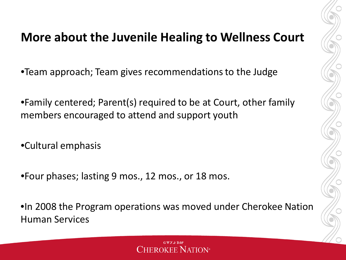#### **More about the Juvenile Healing to Wellness Court**

•Team approach; Team gives recommendations to the Judge

•Family centered; Parent(s) required to be at Court, other family members encouraged to attend and support youth

•Cultural emphasis

•Four phases; lasting 9 mos., 12 mos., or 18 mos.

•In 2008 the Program operations was moved under Cherokee Nation Human Services

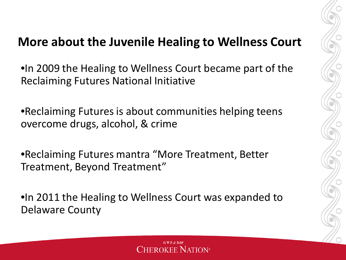#### **More about the Juvenile Healing to Wellness Court**

•In 2009 the Healing to Wellness Court became part of the Reclaiming Futures National Initiative

•Reclaiming Futures is about communities helping teens overcome drugs, alcohol, & crime

•Reclaiming Futures mantra "More Treatment, Better Treatment, Beyond Treatment"

•In 2011 the Healing to Wellness Court was expanded to Delaware County



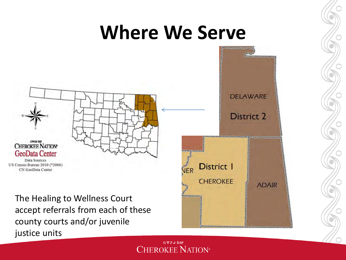#### **Where We Serve**



The Healing to Wellness Court accept referrals from each of these county courts and/or juvenile justice units



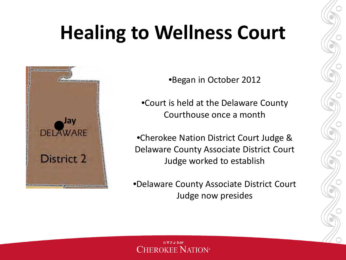### **Healing to Wellness Court**



•Began in October 2012

•Court is held at the Delaware County Courthouse once a month

•Cherokee Nation District Court Judge & Delaware County Associate District Court Judge worked to establish

•Delaware County Associate District Court Judge now presides

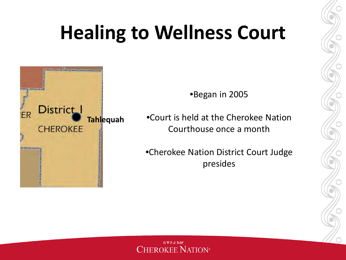#### **Healing to Wellness Court**



•Began in 2005

•Court is held at the Cherokee Nation Courthouse once a month

•Cherokee Nation District Court Judge presides

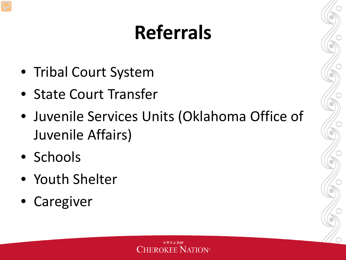# **Referrals**

- Tribal Court System
- State Court Transfer
- Juvenile Services Units (Oklahoma Office of Juvenile Affairs)
- Schools
- Youth Shelter
- Caregiver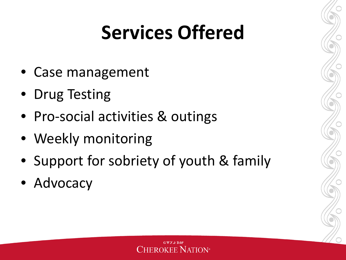### **Services Offered**

- Case management
- Drug Testing
- Pro-social activities & outings
- Weekly monitoring
- Support for sobriety of youth & family
- Advocacy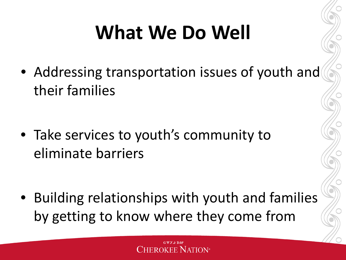# **What We Do Well**

• Addressing transportation issues of youth and their families

• Take services to youth's community to eliminate barriers

• Building relationships with youth and families by getting to know where they come from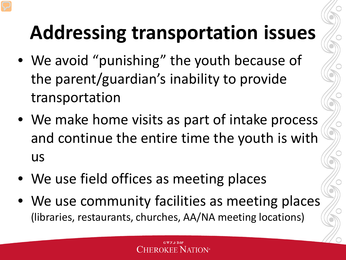# **Addressing transportation issues**

- We avoid "punishing" the youth because of the parent/guardian's inability to provide transportation
- We make home visits as part of intake process and continue the entire time the youth is with us
- We use field offices as meeting places
- We use community facilities as meeting places (libraries, restaurants, churches, AA/NA meeting locations)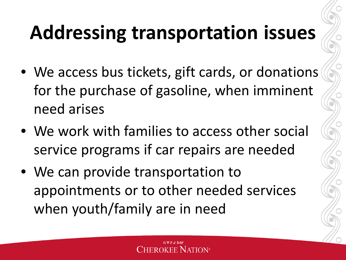## **Addressing transportation issues**

- We access bus tickets, gift cards, or donations for the purchase of gasoline, when imminent need arises
- We work with families to access other social service programs if car repairs are needed
- We can provide transportation to appointments or to other needed services when youth/family are in need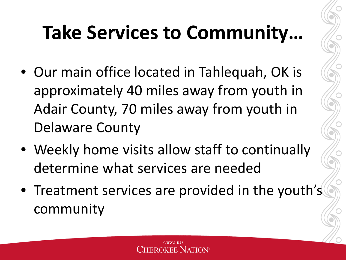# **Take Services to Community…**

- Our main office located in Tahlequah, OK is approximately 40 miles away from youth in Adair County, 70 miles away from youth in Delaware County
- Weekly home visits allow staff to continually determine what services are needed
- Treatment services are provided in the youth's community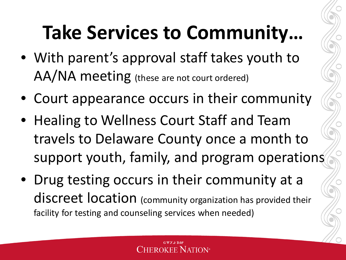## **Take Services to Community…**

- With parent's approval staff takes youth to AA/NA meeting (these are not court ordered)
- Court appearance occurs in their community
- Healing to Wellness Court Staff and Team travels to Delaware County once a month to support youth, family, and program operations
- Drug testing occurs in their community at a discreet location (community organization has provided their facility for testing and counseling services when needed)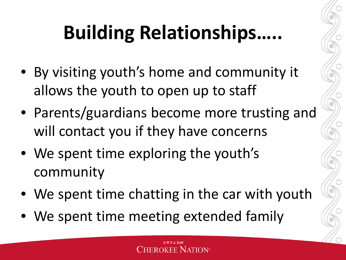# **Building Relationships…..**

- By visiting youth's home and community it allows the youth to open up to staff
- Parents/guardians become more trusting and will contact you if they have concerns
- We spent time exploring the youth's community
- We spent time chatting in the car with youth
- We spent time meeting extended family